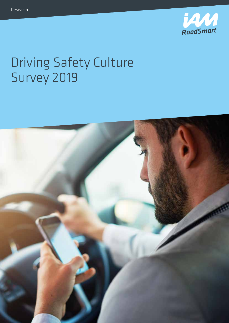

# Driving Safety Culture Survey 2019

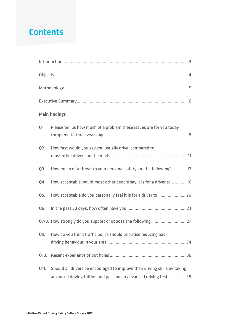## **Contents**

|      | <b>Main findings</b>                                                                                                                           |
|------|------------------------------------------------------------------------------------------------------------------------------------------------|
| Q1.  | Please tell us how much of a problem these issues are for you today                                                                            |
| Q2.  | How fast would you say you usually drive, compared to                                                                                          |
| Q3.  | How much of a threat to your personal safety are the following?  12                                                                            |
| Q4.  | How acceptable would most other people say it is for a driver to  16                                                                           |
| Q5.  | How acceptable do you personally feel it is for a driver to  20                                                                                |
| Q6.  |                                                                                                                                                |
|      |                                                                                                                                                |
| Q9.  | How do you think traffic police should prioritise reducing bad                                                                                 |
| Q10. |                                                                                                                                                |
| Q11. | Should all drivers be encouraged to improve their driving skills by taking<br>advanced driving tuition and passing an advanced driving test 38 |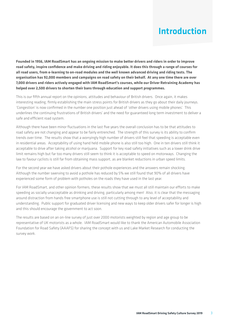## Introduction

**Founded in 1956, IAM RoadSmart has an ongoing mission to make better drivers and riders in order to improve road safety, inspire confidence and make driving and riding enjoyable. It does this through a range of courses for all road users, from e-learning to on-road modules and the well known advanced driving and riding tests. The organisation has 92,000 members and campaigns on road safety on their behalf. At any one time there are over 7,000 drivers and riders actively engaged with IAM RoadSmart's courses, while our Driver Retraining Academy has helped over 2,500 drivers to shorten their bans through education and support programmes.** 

This is our fifth annual report on the opinions, attitudes and behaviour of British drivers. Once again, it makes interesting reading, firmly establishing the main stress points for British drivers as they go about their daily journeys. 'Congestion' is now confirmed in the number one position just ahead of 'other drivers using mobile phones'. This underlines the continuing frustrations of British drivers' and the need for guaranteed long term investment to deliver a safe and efficient road system.

Although there have been minor fluctuations in the last five years the overall conclusion has to be that attitudes to road safety are not changing and appear to be fairly entrenched. The strength of this survey is its ability to confirm trends over time. The results show that a worryingly high number of drivers still feel that speeding is acceptable even in residential areas. Acceptability of using hand held mobile phone is also still too high. One in ten drivers still think it acceptable to drive after taking alcohol or marijuana. Support for key road safety initiatives such as a lower drink drive limit remains high but far too many drivers still seem to think it is acceptable to speed on motorways. Changing the law to favour cyclists is still far from obtaining mass support, as are blanket reductions in urban speed limits.

For the second year we have asked drivers about their pothole experiences and the answers remain shocking. Although the number swerving to avoid a pothole has reduced by 5% we still found that 90% of all drivers have experienced some form of problem with potholes on the roads they have used in the last year.

For IAM RoadSmart, and other opinion formers, these results show that we must all still maintain our efforts to make speeding as socially unacceptable as drinking and driving, particularly among men! Also, it is clear that the messaging around distraction from hands free smartphone use is still not cutting through to any level of acceptability and understanding. Public support for graduated driver licensing and new ways to keep older drivers safer for longer is high and this should encourage the government to act soon.

The results are based on an on-line survey of just over 2000 motorists weighted by region and age group to be representative of UK motorists as a whole. IAM RoadSmart would like to thank the American Automobile Association Foundation for Road Safety (AAAFS) for sharing the concept with us and Lake Market Research for conducting the survey work.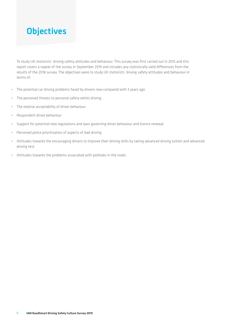## **Objectives**

To study UK motorists' driving safety attitudes and behaviour. This survey was first carried out in 2015 and this report covers a repeat of the survey in September 2019 and includes any statistically valid differences from the results of the 2018 survey. The objectives were to study UK motorists' driving safety attitudes and behaviour in terms of:

- **•** The potential car driving problems faced by drivers now compared with 3 years ago
- **•** The perceived threats to personal safety whilst driving
- **•** The relative acceptability of driver behaviour
- **•** Respondent driver behaviour
- **•** Support for potential new regulations and laws governing driver behaviour and licence renewal
- **•** Perceived police prioritisation of aspects of bad driving
- **•** Attitudes towards the encouraging drivers to improve their driving skills by taking advanced driving tuition and advanced driving test
- **•** Attitudes towards the problems associated with potholes in the roads.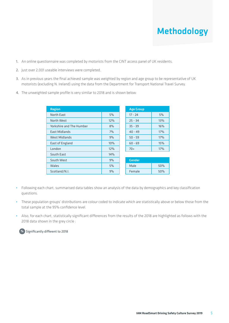## Methodology

- 1. An online questionnaire was completed by motorists from the CINT access panel of UK residents.
- 2. Just over 2,001 useable interviews were completed.
- 3. As in previous years the final achieved sample was weighted by region and age group to be representative of UK motorists (excluding N. Ireland) using the data from the Department for Transport National Travel Survey.
- 4. The unweighted sample profile is very similar to 2018 and is shown below:

| <b>Region</b>                   |     | <b>Age Group</b> |     |
|---------------------------------|-----|------------------|-----|
| <b>North East</b>               | 5%  | $17 - 24$        | 5%  |
| North West                      | 12% | $25 - 34$        | 13% |
| <b>Yorkshire and The Humber</b> | 8%  | $35 - 39$        | 16% |
| <b>East Midlands</b>            | 7%  | $40 - 49$        | 17% |
| <b>West Midlands</b>            | 9%  | $50 - 59$        | 17% |
| East of England                 | 10% | $60 - 69$        | 15% |
| London                          | 12% | $70+$            | 17% |
| South East                      | 14% |                  |     |
| South West                      | 9%  | <b>Gender</b>    |     |
| Wales                           | 5%  | Male             | 50% |
| Scotland/N.I.                   | 9%  | Female           | 50% |

- **•** Following each chart, summarised data tables show an analysis of the data by demographics and key classification questions.
- **•** These population groups' distributions are colour coded to indicate which are statistically above or below those from the total sample at the 95% confidence level.
- **•** Also, for each chart, statistically significant differences from the results of the 2018 are highlighted as follows with the 2018 data shown in the grey circle :

**%** Significantly different to 2018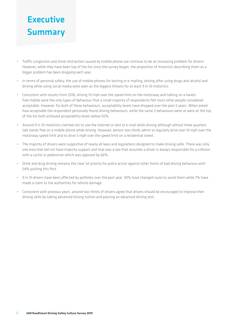## **Executive Summary**

- **•** Traffic congestion and driver distraction caused by mobile phone use continue to be an increasing problem for drivers. However, while they have been top of the list since the survey began, the proportion of motorists describing them as a bigger problem has been dropping each year.
- **•** In terms of personal safety, the use of mobile phones for texting or e-mailing, driving after using drugs and alcohol and driving while using social media were seen as the biggest threats for at least 9 in 10 motorists.
- **•** Consistent with results from 2018, driving 10 mph over the speed limit on the motorway and talking on a handsfree mobile were the only types of behaviour that a small majority of respondents felt most other people considered acceptable. However, for both of these behaviours, acceptability levels have dropped over the past 5 years. When asked how acceptable the respondent personally found driving behaviours, while the same 2 behaviours were at were at the top of the list both achieved acceptability levels below 50%.
- **•** Around 9 in 10 motorists claimed not to use the internet or text or e-mail while driving although almost three quarters talk hands free on a mobile phone while driving. However, almost two thirds admit to regularly drive over 10 mph over the motorway speed limit and to drive 5 mph over the speed limit on a residential street.
- **•** The majority of drivers were supportive of nearly all laws and regulations designed to make driving safer. There was only one area that did not have majority support and that was a law that assumes a driver is always responsible for a collision with a cyclist or pedestrian which was opposed by 66%.
- **•** Drink and drug driving remains the clear 1st priority for police action against other forms of bad driving behaviour with 54% putting this first.
- **•** 9 in 10 drivers have been affected by potholes over the past year. 30% have changed route to avoid them while 7% have made a claim to the authorities for vehicle damage.
- **•** Consistent with previous years, around two thirds of drivers agree that drivers should be encouraged to improve their driving skills by taking advanced driving tuition and passing an advanced driving test.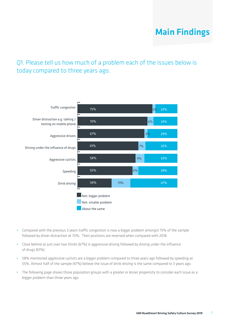#### Q1. Please tell us how much of a problem each of the issues below is today compared to three years ago.



- **•** Compared with the previous 3 years traffic congestion is now a bigger problem amongst 75% of the sample followed by driver distraction at 70%. Their positions are reversed when compared with 2018.
- **•** Close behind at just over two thirds (67%) is aggressive driving followed by driving under the influence of drugs (61%).
- **•** 58% mentioned aggressive cyclists are a bigger problem compared to three years ago followed by speeding at 55%. Almost half of the sample (47%) believe the issue of drink driving is the same compared to 3 years ago.
- **•** The following page shows those population groups with a greater or lesser propensity to consider each issue as a bigger problem than three years ago.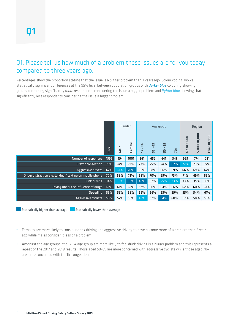#### Q1. Please tell us how much of a problem these issues are for you today compared to three years ago.

Percentages show the proportion stating that the issue is a bigger problem than 3 years ago. Colour coding shows statistically significant differences at the 95% level between population groups with *darker blue* colouring showing groups containing significantly *more* respondents considering the issue a bigger problem and *lighter blue* showing that significantly less respondents considering the issue a bigger problem:

|                                                                       |              |      | Gender | Age group            |                                      |                          |     |             | Region       |             |
|-----------------------------------------------------------------------|--------------|------|--------|----------------------|--------------------------------------|--------------------------|-----|-------------|--------------|-------------|
|                                                                       | <b>Total</b> | Male | Female | $\overline{a}$<br>IJ | $\overline{a}$<br>$\mathbf{I}$<br>55 | eg<br>$\mathbf{I}$<br>50 | 70+ | Up to 5,000 | 5,000-10,000 | Over 10,000 |
| Number of responses                                                   | 1995         | 994  | 1001   | 361                  | 652                                  | 641                      | 341 | 929         | 774          | 221         |
| Traffic congestion                                                    | 75%          | 74%  | 77%    | 73%                  | 75%                                  | 74%                      | 82% | 72%         | 78%          | 77%         |
| Aggressive drivers                                                    | 67%          | 64%  | 70%    | 65%                  | 68%                                  | 66%                      | 69% | 66%         | 69%          | 67%         |
| Driver distraction e.g. talking / texting on mobile phone             | 70%          | 68%  | 73%    | 68%                  | 70%                                  | 69%                      | 73% | 71%         | 69%          | 69%         |
| Drink driving                                                         | 34%          | 30%  | 38%    | 46%                  | 37%                                  | 25%                      | 33% | 33%         | 35%          | 33%         |
| Driving under the influence of drugs                                  | 61%          | 61%  | 62%    | 57%                  | 60%                                  | 64%                      | 66% | 62%         | 60%          | 64%         |
| <b>Speeding</b>                                                       | 55%          | 53%  | 58%    | 56%                  | 56%                                  | 53%                      | 59% | 55%         | 54%          | 61%         |
| Aggressive cyclists                                                   | 58%          | 57%  | 59%    | 48%                  | 57%                                  | 64%                      | 60% | 57%         | 58%          | 58%         |
| Statistically higher than average<br>Statistically lower than average |              |      |        |                      |                                      |                          |     |             |              |             |

- **•** Females are more likely to consider drink driving and aggressive driving to have become more of a problem than 3 years ago while males consider it less of a problem.
- **•** Amongst the age groups, the 17-34 age group are more likely to feel drink driving is a bigger problem and this represents a repeat of the 2017 and 2018 results. Those aged 50-69 are more concerned with aggressive cyclists while those aged 70+ are more concerned with traffic congestion.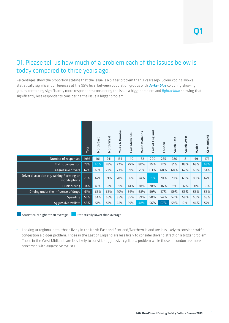#### Q1. Please tell us how much of a problem each of the issues below is today compared to three years ago.

Percentages show the proportion stating that the issue is a bigger problem than 3 years ago. Colour coding shows statistically significant differences at the 95% level between population groups with *darker blue* colouring showing groups containing significantly more respondents considering the issue a bigger problem and *lighter blue* showing that significantly less respondents considering the issue a bigger problem:

|                                                                                           | Total                            | North East | North West | <b>Yorks &amp; Humber</b> | East Midlands | West Midlands | East of England | London | South East | South West | Wales | Scotland/NI |  |
|-------------------------------------------------------------------------------------------|----------------------------------|------------|------------|---------------------------|---------------|---------------|-----------------|--------|------------|------------|-------|-------------|--|
| Number of responses                                                                       | 1995                             | 101        | 241        | 159                       | 140           | 182           | 200             | 235    | 280        | 181        | 99    | 177         |  |
| Traffic congestion                                                                        | 75%                              | 60%        | 76%        | 72%                       | 75%           | 80%           | 75%             | 77%    | 81%        | 83%        | 69%   | 66%         |  |
| Aggressive drivers                                                                        | 67%                              | 65%        | 72%        | 73%                       | 69%           | 71%           | 63%             | 68%    | 68%        | 62%        | 60%   | 64%         |  |
| Driver distraction e.g. talking / texting on<br>mobile phone                              | 70%                              | 67%        | 71%        | 78%                       | 66%           | 74%           | 61%             | 70%    | 70%        | 69%        | 80%   | 67%         |  |
| Drink driving                                                                             | 34%                              | 43%        | 33%        | 39%                       | 41%           | 38%           | 28%             | 36%    | 31%        | 32%        | 31%   | 30%         |  |
| Driving under the influence of drugs                                                      | 61%                              | 66%        | 65%        | 70%                       | 64%           | 68%           | 59%             | 57%    | 59%        | 59%        | 55%   | 55%         |  |
| Speeding                                                                                  | 55%                              | 54%        | 55%        | 65%                       | 55%           | 59%           | 50%             | 54%    | 52%        | 58%        | 50%   | 58%         |  |
| 67%<br>Aggressive cyclists<br>58%<br>51%<br>48%<br>56%<br>59%<br>57%<br>63%<br>59%<br>61% |                                  |            |            |                           |               |               |                 |        |            |            |       | 57%         |  |
| Statistically higher than average                                                         | Statistically lower than average |            |            |                           |               |               |                 |        |            |            |       |             |  |

**•** Looking at regional data, those living in the North East and Scotland/Northern Island are less likely to consider traffic congestion a bigger problem. Those in the East of England are less likely to consider driver distraction a bigger problem. Those in the West Midlands are less likely to consider aggressive cyclists a problem while those in London are more concerned with aggressive cyclists.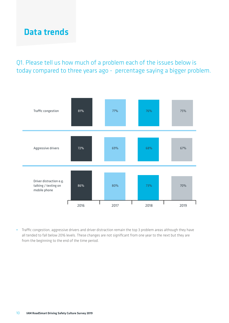### Data trends

#### Q1. Please tell us how much of a problem each of the issues below is today compared to three years ago - percentage saying a bigger problem.



**•** Traffic congestion, aggressive drivers and driver distraction remain the top 3 problem areas although they have all tended to fall below 2016 levels. These changes are not significant from one year to the next but they are from the beginning to the end of the time period.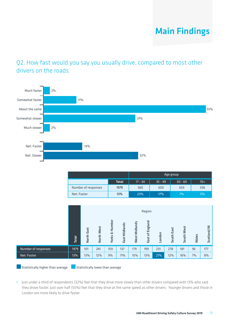#### Q2. How fast would you say you usually drive, compared to most other drivers on the roads.



|                     |              |           |           | Age group |       |
|---------------------|--------------|-----------|-----------|-----------|-------|
|                     | <b>Total</b> | $17 - 34$ | $35 - 49$ | $50 - 69$ | $70+$ |
| Number of responses | 1979         | 360       | 650       | 633       | 336   |
| Net: Faster         | 13%          | 23%       | 17%       | 7%        | 5%    |

|                                                                       |              | Region     |            |                           |               |               |                 |        |            |            |       |             |  |
|-----------------------------------------------------------------------|--------------|------------|------------|---------------------------|---------------|---------------|-----------------|--------|------------|------------|-------|-------------|--|
|                                                                       | <b>Total</b> | North East | North West | <b>Yorks &amp; Humber</b> | East Midlands | West Midlands | East of England | London | South East | South West | Wales | Scotland/NI |  |
| Number of responses                                                   | 1979         | 101        | 241        | 159                       | 137           | 179           | 199             | 231    | 278        | 181        | 96    | 177         |  |
| Net: Faster                                                           | 13%          | 13%        | 12%        | 9%                        | 11%           | 15%           | 13%             | 21%    | 12%        | 16%        | 7%    | 8%          |  |
| Statistically higher than average<br>Statistically lower than average |              |            |            |                           |               |               |                 |        |            |            |       |             |  |

**•** Just under a third of respondents (32%) feel that they drive more slowly than other drivers compared with 13% who said they drove faster. Just over half (55%) feel that they drive at the same speed as other drivers. Younger drivers and those in London are more likely to drive faster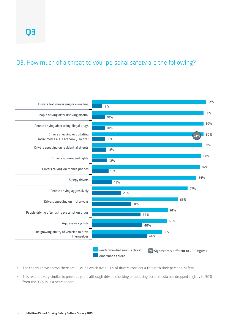#### Q3. How much of a threat to your personal safety are the following?



- **•** The charts above shows there are 8 issues which over 80% of drivers consider a threat to their personal safety.
- **•** This result is very similar to previous years although drivers checking or updating social media has dropped slightly to 90% from the 93% in last years report.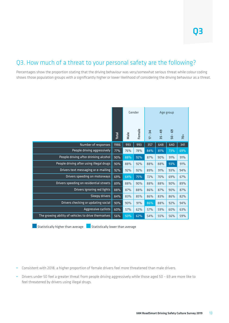#### Q3. How much of a threat to your personal safety are the following?

Percentages show the proportion stating that the driving behaviour was very/somewhat serious threat while colour coding shows those population groups with a significantly higher or lower likelihood of considering the driving behaviour as a threat.

|                                                     |              |      | Gender |                                     | Age group                           |          |     |
|-----------------------------------------------------|--------------|------|--------|-------------------------------------|-------------------------------------|----------|-----|
|                                                     | <b>Total</b> | Male | Female | $\overline{4}$<br>$\mathbf{I}$<br>F | $\frac{1}{4}$<br>$\mathbf{r}$<br>55 | සි<br>50 | 70+ |
| Number of responses                                 | 1986         | 993  | 993    | 357                                 | 648                                 | 640      | 341 |
| People driving aggressively                         | 77%          | 76%  | 78%    | 84%                                 | 81%                                 | 73%      | 69% |
| People driving after drinking alcohol               | 90%          | 88%  | 92%    | 87%                                 | 90%                                 | 91%      | 91% |
| People driving after using illegal drugs            | 90%          | 88%  | 92%    | 88%                                 | 88%                                 | 93%      | 91% |
| Drivers text messaging or e-mailing                 | 92%          | 92%  | 92%    | 89%                                 | 91%                                 | 93%      | 94% |
| Drivers speeding on motorways                       | 69%          | 64%  | 75%    | 72%                                 | 70%                                 | 69%      | 67% |
| Drivers speeding on residential streets             | 89%          | 88%  | 90%    | 88%                                 | 88%                                 | 90%      | 89% |
| Drivers ignoring red lights                         | 88%          | 87%  | 88%    | 86%                                 | 87%                                 | 90%      | 87% |
| Sleepy drivers                                      | 84%          | 83%  | 85%    | 86%                                 | 83%                                 | 86%      | 82% |
| Drivers checking or updating social                 | 90%          | 90%  | 91%    | 86%                                 | 88%                                 | 92%      | 94% |
| Aggressive cyclists                                 | 60%          | 57%  | 62%    | 57%                                 | 59%                                 | 60%      | 63% |
| The growing ability of vehicles to drive themselves | 56%          | 50%  | 62%    | 54%                                 | 55%                                 | 56%      | 59% |

 $\blacksquare$  Statistically higher than average  $\blacksquare$  Statistically lower than average

- **•** Consistent with 2018, a higher proportion of female drivers feel more threatened than male drivers.
- **•** Drivers under 50 feel a greater threat from people driving aggressively while those aged 50 69 are more like to feel threatened by drivers using illegal drugs.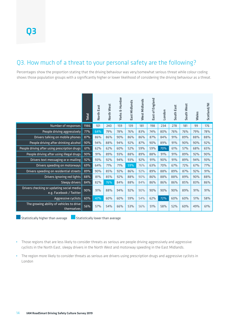#### Q3. How much of a threat to your personal safety are the following?

Percentages show the proportion stating that the driving behaviour was very/somewhat serious threat while colour coding shows those population groups with a significantly higher or lower likelihood of considering the driving behaviour as a threat.

|                                                                      | Total | North East | North West                       | <b>Yorks &amp; Humber</b> | East Midlands | West Midlands | East of England | London | South East | South West | Wales | Scotland/NI |
|----------------------------------------------------------------------|-------|------------|----------------------------------|---------------------------|---------------|---------------|-----------------|--------|------------|------------|-------|-------------|
| Number of responses                                                  | 1986  | 101        | 240                              | 159                       | 139           | 181           | 198             | 234    | 278        | 181        | 99    | 176         |
| People driving aggressively                                          | 77%   | 64%        | 79%                              | 78%                       | 76%           | 83%           | 74%             | 80%    | 76%        | 76%        | 79%   | 78%         |
| Drivers talking on mobile phones                                     | 87%   | 86%        | 86%                              | 90%                       | 86%           | 86%           | 87%             | 84%    | 91%        | 89%        | 88%   | 88%         |
| People driving after drinking alcohol                                | 90%   | 94%        | 88%                              | 94%                       | 92%           | 87%           | 90%             | 89%    | 91%        | 90%        | 90%   | 92%         |
| People driving after using prescription drugs                        | 61%   | 62%        | 62%                              | 60%                       | 52%           | 59%           | 59%             | 70%    | 61%        | 57%        | 68%   | 65%         |
| People driving after using illegal drugs                             | 90%   | 91%        | 89%                              | 93%                       | 88%           | 89%           | 88%             | 91%    | 91%        | 89%        | 92%   | 90%         |
| Drivers text messaging or e-mailing                                  | 92%   | 93%        | 92%                              | 94%                       | 93%           | 92%           | 91%             | 90%    | 91%        | 89%        | 94%   | 93%         |
| Drivers speeding on motorways                                        | 69%   | 64%        | 71%                              | 71%                       | 59%           | 76%           | 63%             | 70%    | 67%        | 72%        | 67%   | 77%         |
| Drivers speeding on residential streets                              | 89%   | 90%        | 85%                              | 92%                       | 86%           | 92%           | 89%             | 88%    | 89%        | 87%        | 92%   | 91%         |
| Drivers ignoring red lights                                          | 88%   | 81%        | 85%                              | 92%                       | 88%           | 90%           | 86%             | 88%    | 88%        | 89%        | 90%   | 88%         |
| Sleepy drivers                                                       | 84%   | 82%        | 76%                              | 84%                       | 88%           | 84%           | 86%             | 86%    | 86%        | 85%        | 83%   | 86%         |
| Drivers checking or updating social media<br>e.g. Facebook / Twitter | 90%   | 91%        | 88%                              | 94%                       | 92%           | 90%           | 90%             | 90%    | 90%        | 89%        | 91%   | 91%         |
| Aggressive cyclists                                                  | 60%   | 47%        | 60%                              | 60%                       | 59%           | 54%           | 62%             | 72%    | 60%        | 60%        | 51%   | 58%         |
| The growing ability of vehicles to drive<br>themselves               | 56%   | 57%        | 54%                              | 66%                       | 53%           | 56%           | 51%             | 58%    | 52%        | 60%        | 49%   | 61%         |
| Statistically higher than average                                    |       |            | Statistically lower than average |                           |               |               |                 |        |            |            |       |             |

- **•** Those regions that are less likely to consider threats as serious are people driving aggressively and aggressive cyclists in the North East, sleepy drivers in the North West and motorway speeding in the East Midlands.
- **•** The region more likely to consider threats as serious are drivers using prescription drugs and aggressive cyclists in London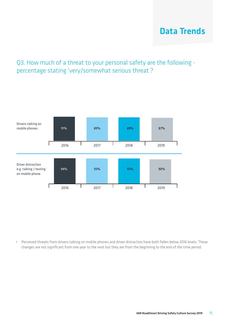## Data Trends

#### Q3. How much of a threat to your personal safety are the following percentage stating 'very/somewhat serious threat ?



**•** Perceived threats from drivers talking on mobile phones and driver distraction have both fallen below 2016 levels. These changes are not significant from one year to the next but they are from the beginning to the end of the time period.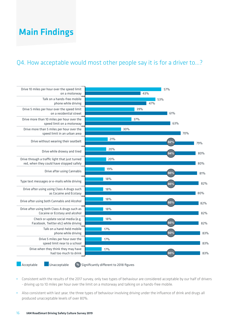#### Q4. How acceptable would most other people say it is for a driver to…?



Acceptable Unacceptable **%** Significantly different to 2018 figures

- **•** Consistent with the results of the 2017 survey, only two types of behaviour are considered acceptable by our half of drivers - driving up to 10 miles per hour over the limit on a motorway and talking on a hands-free mobile.
- **•** Also consistent with last year, the three types of behaviour involving driving under the influence of drink and drugs all produced unacceptable levels of over 80%.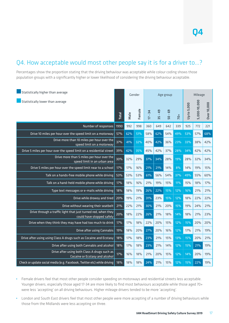#### Q4. How acceptable would most other people say it is for a driver to…?

Percentages show the proportion stating that the driving behaviour was acceptable while colour coding shows those population groups with a significantly higher or lower likelihood of considering the driving behaviour acceptable.

| Statistically higher than average                                                          |              | Gender |        | Age group                            |                          |                   |       |                    | Mileage      |             |  |
|--------------------------------------------------------------------------------------------|--------------|--------|--------|--------------------------------------|--------------------------|-------------------|-------|--------------------|--------------|-------------|--|
| Statistically lower than average                                                           | <b>Total</b> | Male   | Female | 34<br>$\mathbf{r}$<br>$\overline{a}$ | $-49$<br>$\frac{15}{25}$ | - 69<br><b>SQ</b> | $70+$ | <b>Up to 5,000</b> | 5,000-10,000 | Over 10,000 |  |
| Number of responses                                                                        | 1990         | 992    | 998    | 360                                  | 649                      | 642               | 339   | 925                | 772          | 221         |  |
| Drive 10 miles per hour over the speed limit on a motorway                                 | 57%          | 62%    | 51%    | 58%                                  | 62%                      | 54%               | 49%   | 53%                | 57%          | 68%         |  |
| Drive more than 10 miles per hour over the<br>speed limit on a motorway                    | 37%          | 41%    | 32%    | 40%                                  | 42%                      | 36%               | 23%   | 33%                | 38%          | 42%         |  |
| Drive 5 miles per hour over the speed limit on a residential street                        | 39%          | 42%    | 35%    | 45%                                  | 42%                      | 37%               | 28%   | 34%                | 42%          | 42%         |  |
| Drive more than 5 miles per hour over the<br>speed limit in an urban area                  | 30%          | 32%    | 29%    | 37%                                  | 34%                      | 28%               | 19%   | 28%                | 32%          | 34%         |  |
| Drive 5 miles per hour over the speed limit near to a school                               | 17%          | 17%    | 16%    | 21%                                  | 21%                      | 14%               | 8%    | 14%                | 19%          | 15%         |  |
| Talk on a hands-free mobile phone while driving                                            | 53%          | 53%    | 53%    | 61%                                  | 56%                      | 54%               | 37%   | 49%                | 55%          | 60%         |  |
| Talk on a hand-held mobile phone while driving                                             | 17%          | 18%    | 16%    | 21%                                  | 19%                      | 15%               | 11%   | 15%                | 18%          | 17%         |  |
| Type text messages or e-mails while driving                                                | 18%          | 18%    | 19%    | 26%                                  | 22%                      | 15%               | 12%   | 16%                | 21%          | 21%         |  |
| Drive while drowsy and tired                                                               | 20%          | 19%    | 21%    | 31%                                  | 23%                      | 15%               | 12%   | 18%                | 22%          | 22%         |  |
| Drive without wearing their seatbelt                                                       | 21%          | 22%    | 21%    | 30%                                  | 21%                      | 20%               | 15%   | 19%                | 24%          | 21%         |  |
| Drive through a traffic light that just turned red, when they<br>could have stopped safely | 20%          | 18%    | 22%    | 26%                                  | 21%                      | 18%               | 14%   | 18%                | 21%          | 23%         |  |
| Drive when they think they may have had too much to drink                                  | 17%          | 17%    | 18%    | 22%                                  | 20%                      | 15%               | 12%   | 15%                | 20%          | 20%         |  |
| Drive after using Cannabis                                                                 | 19%          | 18%    | 20%    | 27%                                  | 20%                      | 16%               | 12%   | 17%                | 21%          | 19%         |  |
| Drive after using using Class A drugs such as Cocaine and Ecstasy                          | 18%          | 17%    | 18%    | 23%                                  | 21%                      | 15%               | 13%   | 15%                | 20%          | 21%         |  |
| Drive after using both Cannabis and alcohol                                                | 18%          | 17%    | 18%    | 23%                                  | 21%                      | 14%               | 12%   | 15%                | 21%          | 19%         |  |
| Drive after using both Class A drugs such as<br>Cocaine or Ecstasy and alcohol             | 17%          | 16%    | 18%    | 21%                                  | 20%                      | 15%               | 12%   | 14%                | 20%          | 19%         |  |
| Check or update social media (e.g. Facebook, Twitter etc) while driving                    | 18%          | 18%    | 18%    | 24%                                  | 21%                      | 15%               | 12%   | 15%                | 22%          | 19%         |  |

- **•** Female drivers feel that most other people consider speeding on motorways and residential streets less acceptable. Younger drivers, especially those aged 17-34 are more likely to find most behaviours acceptable while those aged 70+ were less 'accepting' on all driving behaviours. Higher mileage drivers tended to be more 'accepting'.
- **•** London and South East drivers feel that most other people were more accepting of a number of driving behaviours while those from the Midlands were less accepting on three.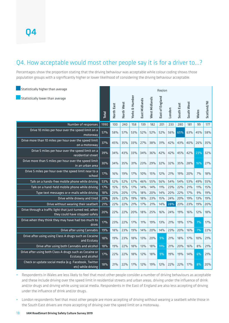#### Q4. How acceptable would most other people say it is for a driver to…?

Percentages show the proportion stating that the driving behaviour was acceptable while colour coding shows those population groups with a significantly higher or lower likelihood of considering the driving behaviour acceptable.

| Statistically higher than average                                                          |       |            |            |                           |               |               | Region          |        |            |            |       |             |
|--------------------------------------------------------------------------------------------|-------|------------|------------|---------------------------|---------------|---------------|-----------------|--------|------------|------------|-------|-------------|
| Statistically lower than average                                                           | Total | North East | North West | <b>Yorks &amp; Humber</b> | East Midlands | West Midlands | East of England | London | South East | South West | Wales | Scotland/NI |
| Number of responses                                                                        | 1990  | 100        | 240        | 158                       | 139           | 182           | 201             | 233    | 280        | 181        | 99    | 177         |
| Drive 10 miles per hour over the speed limit on a<br>motorway                              | 57%   | 58%        | 57%        | 53%                       | 52%           | 52%           | 52%             | 56%    | 65%        | 63%        | 45%   | 58%         |
| Drive more than 10 miles per hour over the speed limit<br>on a motorway                    | 37%   | 45%        | 35%        | 33%                       | 27%           | 38%           | 31%             | 42%    | 43%        | 40%        | 26%   | 35%         |
| Drive 5 miles per hour over the speed limit on a<br>residential street                     | 39%   | 34%        | 43%        | 33%                       | 34%           | 36%           | 42%             | 42%    | 45%        | 42%        | 23%   | 32%         |
| Drive more than 5 miles per hour over the speed limit<br>in an urban area                  | 30%   | 34%        | 35%        | 31%                       | 23%           | 29%           | 32%             | 32%    | 35%        | 28%        | 16%   | 27%         |
| Drive 5 miles per hour over the speed limit near to a<br>school                            | 17%   | 16%        | 19%        | 17%                       | 10%           | 15%           | 12%             | 21%    | 19%        | 20%        | 7%    | 18%         |
| Talk on a hands-free mobile phone while driving                                            | 53%   | 52%        | 52%        | 57%                       | 46%           | 55%           | 56%             | 54%    | 54%        | 53%        | 49%   | 55%         |
| Talk on a hand-held mobile phone while driving                                             | 17%   | 15%        | 15%        | 17%                       | 14%           | 14%           | 11%             | 23%    | 22%        | 21%        | 11%   | 15%         |
| Type text messages or e-mails while driving                                                | 18%   | 23%        | 20%        | 17%                       | 18%           | 20%           | 14%             | 20%    | 22%        | 17%        | 9%    | 19%         |
| Drive while drowsy and tired                                                               | 20%   | 26%        | 22%        | 19%                       | 18%           | 23%           | 15%             | 24%    | 20%        | 19%        | 13%   | 19%         |
| Drive without wearing their seatbelt                                                       | 21%   | 22%        | 22%        | 21%                       | 17%           | 21%           | 14%             | 28%    | 23%        | 23%        | 19%   | 20%         |
| Drive through a traffic light that just turned red, when<br>they could have stopped safely | 20%   | 22%        | 22%        | 20%                       | 18%           | 25%           | 16%             | 24%    | 19%        | 16%        | 12%   | 18%         |
| Drive when they think they may have had too much to<br>drink                               | 17%   | 23%        | 22%        | 17%                       | <b>11%</b>    | 19%           | 13%             | 21%    | 19%        | 17%        | 7%    | 17%         |
| Drive after using Cannabis                                                                 | 19%   | 18%        | 23%        | 19%                       | 14%           | 20%           | 14%             | 23%    | 20%        | 16%        | 7%    | 22%         |
| Drive after using using Class A drugs such as Cocaine<br>and Ecstasy                       | 18%   | 19%        | 23%        | 18%                       | 13%           | 20%           | 9%              | 21%    | 18%        | 17%        | 10%   | 21%         |
| Drive after using both Cannabis and alcohol                                                | 18%   | 19%        | 22%        | 18%                       | 13%           | 18%           | 11%             | 21%    | 20%        | 16%        | 8%    | 21%         |
| Drive after using both Class A drugs such as Cocaine or<br><b>Ecstasy and alcohol</b>      | 17%   | 22%        | 22%        | 18%                       | 12%           | 18%           | 9%              | 19%    | 19%        | 14%        | 6%    | 21%         |
| Check or update social media (e.g. Facebook, Twitter<br>etc) while driving                 | 18%   | 21%        | 22%        | 17%                       | 12%           | 19%           | 12%             | 22%    | 22%        | 17%        | 8%    | 20%         |

**•** Respondents in Wales are less likely to feel that most other people consider a number of driving behaviours as acceptable and these include driving over the speed limit in residential streets and urban areas, driving under the influence of drink and/or drugs and driving while using social media. Respondents in the East of England are also less accepting of driving under the influence of drink and/or drugs.

**•** London respondents feel that most other people are more accepting of driving without wearing a seatbelt while those in the South East drivers are more accepting of driving over the speed limit on a motorway.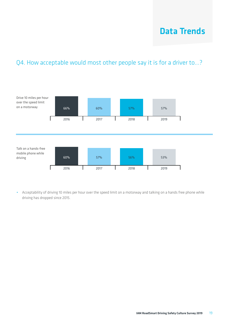## Data Trends

#### Q4. How acceptable would most other people say it is for a driver to...?



**•** Acceptability of driving 10 miles per hour over the speed limit on a motorway and talking on a hands free phone while driving has dropped since 2015.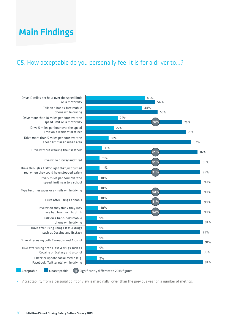#### Q5. How acceptable do you personally feel it is for a driver to…?



**•** Acceptability from a personal point of view is marginally lower than the previous year on a number of metrics.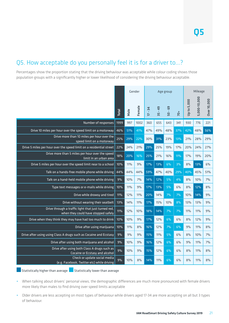#### Q5. How acceptable do you personally feel it is for a driver to…?

Percentages show the proportion stating that the driving behaviour was acceptable while colour coding shows those population groups with a significantly higher or lower likelihood of considering the driving behaviour acceptable.

|                                                                                            |       |      | Gender | Age group                                       |             |                          |                   |             | Mileage      |                    |
|--------------------------------------------------------------------------------------------|-------|------|--------|-------------------------------------------------|-------------|--------------------------|-------------------|-------------|--------------|--------------------|
|                                                                                            | Total | Male | Female | $\frac{1}{4}$<br>$\mathbf{I}$<br>$\overline{1}$ | $-49$<br>55 | සි<br>$\mathbf{r}$<br>50 | $70+$             | Up to 5,000 | 5,000-10,000 | <b>Over 10,000</b> |
| Number of responses                                                                        | 1999  | 997  | 1002   | 360                                             | 655         | 643                      | 341               | 930         | 776          | 221                |
| Drive 10 miles per hour over the speed limit on a motorway                                 | 46%   | 51%  | 41%    | 47%                                             | 49%         | 48%                      | $\overline{37\%}$ | 42%         | 48%          | 56%                |
| Drive more than 10 miles per hour over the<br>speed limit on a motorway                    | 25%   | 29%  | 22%    | 30%                                             | 31%         | 23%                      | $13\%$            | 21%         | 28%          | 29%                |
| Drive 5 miles per hour over the speed limit on a residential street                        | 22%   | 24%  | 21%    | 29%                                             | 25%         | 19%                      | 17%               | 20%         | 24%          | 27%                |
| Drive more than 5 miles per hour over the speed<br>limit in an urban area                  | 18%   | 20%  | 16%    | 25%                                             | 21%         | 16%                      | 11%               | 17%         | 19%          | 20%                |
| Drive 5 miles per hour over the speed limit near to a school                               | 10%   | 11%  | 9%     | 17%                                             | 13%         | 6%                       | 3%                | 8%          | 13%          | 6%                 |
| Talk on a hands-free mobile phone while driving                                            | 44%   | 44%  | 44%    | 59%                                             | 47%         | 40%                      | 29%               | 40%         | 45%          | 51%                |
| Talk on a hand-held mobile phone while driving                                             | 9%    | 10%  | 7%     | 14%                                             | 12%         | 5%                       | 4%                | 8%          | 10%          | 7%                 |
| Type text messages or e-mails while driving                                                | 10%   | 11%  | 9%     | 17%                                             | 13%         | 5%                       | 6%                | 8%          | 12%          | 8%                 |
| Drive while drowsy and tired                                                               | 11%   | 12%  | 11%    | 20%                                             | 14%         | 7%                       | 7%                | 10%         | 14%          | 9%                 |
| Drive without wearing their seatbelt                                                       | 13%   | 14%  | 11%    | 17%                                             | 15%         | 10%                      | 8%                | 13%         | 13%          | 9%                 |
| Drive through a traffic light that just turned red,<br>when they could have stopped safely | 11%   | 12%  | 10%    | 18%                                             | 14%         | 7%                       | 7%                | 11%         | 11%          | 9%                 |
| Drive when they think they may have had too much to drink                                  | 10%   | 10%  | 9%     | 17%                                             | 12%         | 6%                       | 6%                | 8%          | 12%          | 9%                 |
| Drive after using marijuana                                                                | 10%   | 11%  | 8%     | 16%                                             | 12%         | 7%                       | 6%                | 9%          | 11%          | 8%                 |
| Drive after using using Class A drugs such as Cocaine and Ecstasy                          | 9%    | 9%   | 9%     | 15%                                             | 11%         | 5%                       | 6%                | 8%          | 10%          | 7%                 |
| Drive after using both marijuana and alcohol                                               | 9%    | 10%  | 9%     | 16%                                             | 12%         | 6%                       | 6%                | 9%          | 11%          | 7%                 |
| Drive after using both Class A drugs such as<br>Cocaine or Ecstasy and alcohol             | 9%    | 10%  | 9%     | 15%                                             | 12%         | 6%                       | 6%                | 8%          | 11%          | 8%                 |
| Check or update social media<br>(e.g. Facebook, Twitter etc) while driving                 | 9%    | 10%  | 8%     | 14%                                             | 11%         | 6%                       | 6%                | 8%          | 11%          | 8%                 |

Statistically higher than average  $\Box$  Statistically lower than average

- **•** When talking about drivers' personal views, the demographic differences are much more pronounced with female drivers more likely than males to find driving over speed limits acceptable
- **•** Older drivers are less accepting on most types of behaviour while drivers aged 17-34 are more accepting on all but 3 types of behaviour.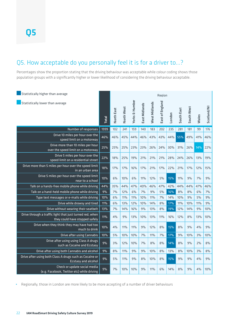#### Q5. How acceptable do you personally feel it is for a driver to…?

Percentages show the proportion stating that the driving behaviour was acceptable while colour coding shows those population groups with a significantly higher or lower likelihood of considering the driving behaviour acceptable.

| Statistically higher than average                                                          |              | Region     |            |                           |               |               |                 |        |            |            |       |             |
|--------------------------------------------------------------------------------------------|--------------|------------|------------|---------------------------|---------------|---------------|-----------------|--------|------------|------------|-------|-------------|
| Statistically lower than average                                                           | <b>Total</b> | North East | North West | <b>Yorks &amp; Humber</b> | East Midlands | West Midlands | East of England | London | South East | South West | Wales | Scotland/NI |
| Number of responses                                                                        | 1999         | 102        | 241        | 159                       | 140           | 183           | 202             | 235    | 281        | 181        | 99    | 176         |
| Drive 10 miles per hour over the<br>speed limit on a motorway                              | 46%          | 46%        | 45%        | 44%                       | 46%           | 43%           | 43%             | 44%    | 55%        | 49%        | 41%   | 46%         |
| Drive more than 10 miles per hour<br>over the speed limit on a motorway                    | 25%          | 25%        | 25%        | 23%                       | 23%           | 26%           | 24%             | 30%    | 31%        | 26%        | 14%   | 22%         |
| Drive 5 miles per hour over the<br>speed limit on a residential street                     | 22%          | 18%        | 25%        | 19%                       | 21%           | 21%           | 21%             | 28%    | 24%        | 26%        | 13%   | 19%         |
| Drive more than 5 miles per hour over the speed limit<br>in an urban area                  | 18%          | 17%        | 17%        | 16%                       | 17%           | 21%           | 17%             | 22%    | 21%        | 17%        | 12%   | 15%         |
| Drive 5 miles per hour over the speed limit<br>near to a school                            | 10%          | 6%         | 10%        | 6%                        | 11%           | 12%           | 5%              | 15%    | <b>11%</b> | 9%         | 7%    | 9%          |
| Talk on a hands-free mobile phone while driving                                            | 44%          | 35%        | 44%        | 47%                       | 40%           | 46%           | 47%             | 42%    | 44%        | 44%        | 47%   | 46%         |
| Talk on a hand-held mobile phone while driving                                             | 9%           | 7%         | 12%        | 6%                        | 7%            | 9%            | 5%              | 16%    | 8%         | 8%         | 6%    | 7%          |
| Type text messages or e-mails while driving                                                | 10%          | 6%         | 11%        | 11%                       | 10%           | 11%           | 7%              | 14%    | 10%        | 9%         | 5%    | 9%          |
| Drive while drowsy and tired                                                               | <b>11%</b>   | 6%         | 13%        | 12%                       | 10%           | 14%           | 8%              | 17%    | 11%        | 10%        | 11%   | 9%          |
| Drive without wearing their seatbelt                                                       | 13%          | 7%         | 14%        | 16%                       | 9%            | 13%           | 8%              | 19%    | 12%        | 14%        | 9%    | 10%         |
| Drive through a traffic light that just turned red, when<br>they could have stopped safely | $11\%$       | 4%         | 9%         | 13%                       | 10%           | 13%           | 11%             | 16%    | 12%        | 8%         | 13%   | 10%         |
| Drive when they think they may have had too<br>much to drink                               | 10%          | 4%         | <b>11%</b> | 11%                       | 9%            | 12%           | 8%              | 15%    | 8%         | 9%         | 4%    | 9%          |
| Drive after using Cannabis                                                                 | 10%          | 5%         | 10%        | 10%                       | 7%            | 11%           | 7%              | 17%    | 9%         | 10%        | 3%    | 10%         |
| Drive after using using Class A drugs<br>such as Cocaine and Ecstasy                       | 9%           | 3%         | 12%        | 10%                       | 7%            | 8%            | 8%              | 14%    | 8%         | 9%         | 2%    | 8%          |
| Drive after using both Cannabis and alcohol                                                | 9%           | 8%         | 11%        | 9%                        | 9%            | 10%           | 8%              | 13%    | 8%         | 10%        | 3%    | 8%          |
| Drive after using both Class A drugs such as Cocaine or<br><b>Ecstasy and alcohol</b>      | 9%           | 5%         | 11%        | 9%                        | 8%            | 10%           | 8%              | 15%    | 9%         | 9%         | 4%    | 9%          |
| Check or update social media<br>(e.g. Facebook, Twitter etc) while driving                 | 9%           | 7%         | 10%        | 10%                       | 9%            | 11%           | 6%              | 14%    | 8%         | 9%         | 4%    | 10%         |

**•** Regionally, those in London are more likely to be more accepting of a number of driver behaviours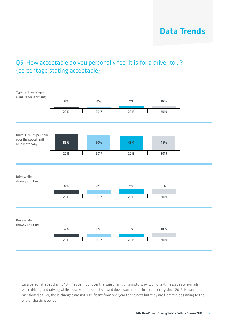## Data Trends

#### Q5. How acceptable do you personally feel it is for a driver to...? (percentage stating acceptable)



**•** On a personal level, driving 10 miles per hour over the speed limit on a motorway, typing text messages or e-mails while driving and driving while drowsy and tired all showed downward trends in acceptability since 2015. However as mentioned earlier, these changes are not significant from one year to the next but they are from the beginning to the end of the time period.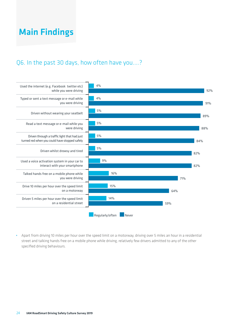#### Q6. In the past 30 days, how often have you....?



**•** Apart from driving 10 miles per hour over the speed limit on a motorway, driving over 5 miles an hour in a residential street and talking hands free on a mobile phone while driving, relatively few drivers admitted to any of the other specified driving behaviours.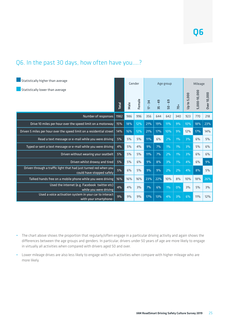#### Q6. In the past 30 days, how often have you....?

| Statistically higher than average                                                             |       | Gender |        |                          |                          | Age group         | Mileage |             |              |                    |
|-----------------------------------------------------------------------------------------------|-------|--------|--------|--------------------------|--------------------------|-------------------|---------|-------------|--------------|--------------------|
| Statistically lower than average                                                              | Total | Male   | Female | 34<br>$\mathbf{I}$<br>17 | $-49$<br>$\frac{15}{25}$ | <b>G</b><br>$-05$ | $70+$   | Jp to 5,000 | 5,000-10,000 | <b>Dver 10,000</b> |
| Number of responses                                                                           | 1982  | 986    | 996    | 356                      | 644                      | 642               | 340     | 923         | 770          | 218                |
| Drive 10 miles per hour over the speed limit on a motorway                                    | 15%   | 18%    | 12%    | 21%                      | 19%                      | 11%               | 9%      | 10%         | 18%          | 23%                |
| Driven 5 miles per hour over the speed limit on a residential street                          | 14%   | 16%    | 12%    | 21%                      | 17%                      | 10%               | 9%      | 12%         | 17%          | 14%                |
| Read a text message or e-mail while you were driving                                          | 5%    | 5%     | 5%     | 11%                      | 6%                       | 2%                | $1\%$   | 3%          | 6%           | 5%                 |
| Typed or sent a text message or e-mail while you were driving                                 | 4%    | 5%     | 4%     | 9%                       | 7%                       | $1\%$             | $1\%$   | 3%          | 5%           | 6%                 |
| Driven without wearing your seatbelt                                                          | 5%    | 5%     | 5%     | 11%                      | 7%                       | 2%                | 1%      | 3%          | 6%           | 6%                 |
| Driven whilst drowsy and tired                                                                | 5%    | 5%     | 6%     | 9%                       | 8%                       | 3%                | 1%      | 4%          | 6%           | 9%                 |
| Driven through a traffic light that had just turned red when you<br>could have stopped safely | 5%    | 6%     | 5%     | 9%                       | 9%                       | 2%                | 2%      | 4%          | 8%           | 5%                 |
| Talked hands free on a mobile phone while you were driving                                    | 16%   | 16%    | 16%    | 23%                      | 22%                      | 10%               | 8%      | 10%         | 18%          | 26%                |
| Used the internet (e.g. Facebook twitter etc)<br>while you were driving                       | 4%    | 4%     | 3%     | 7%                       | 6%                       | 1%                | $0\%$   | 3%          | 5%           | 3%                 |
| Used a voice activation system in your car to interact<br>with your smartphone-               | 9%    | 9%     | 9%     | 17%                      | 13%                      | 4%                | 3%      | 6%          | 11%          | 12%                |

- **•** The chart above shows the proportion that regularly/often engage in a particular driving activity and again shows the differences between the age groups and genders. In particular, drivers under 50 years of age are more likely to engage in virtually all activities when compared with drivers aged 50 and over.
- **•** Lower mileage drives are also less likely to engage with such activities when compare with higher mileage who are more likely.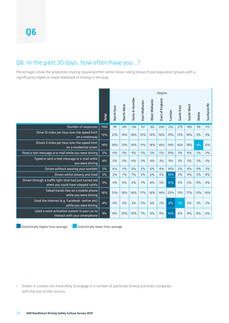#### Q6. In the past 30 days, how often have you…?

Percentages show the proportion stating regularly/often while colour coding shows those population groups with a significantly higher or lower likelihood of driving in this way

|                                                                                               |              | Region     |            |                           |               |                      |                 |        |            |            |       |             |
|-----------------------------------------------------------------------------------------------|--------------|------------|------------|---------------------------|---------------|----------------------|-----------------|--------|------------|------------|-------|-------------|
|                                                                                               | <b>Total</b> | North East | North West | <b>Yorks &amp; Humber</b> | East Midlands | <b>Nest Midlands</b> | East of England | London | South East | South West | Wales | Scotland/NI |
| Number of responses                                                                           | 1982         | 99         | 241        | 158                       | 137           | 182                  | 200             | 232    | 279        | 180        | 99    | 175         |
| Drive 10 miles per hour over the speed limit<br>on a motorway                                 | 15%          | 21%        | 14%        | 18%                       | 15%           | 14%                  | 16%             | 19%    | 13%        | 18%        | 9%    | 9%          |
| Driven 5 miles per hour over the speed limit<br>on a residential street                       | 14%          | 18%        | 13%        | 14%                       | 11%           | 18%                  | 14%             | 14%    | 16%        | 18%        | 4%    | 12%         |
| Read a text message or e-mail while you were driving                                          | 5%           | 4%         | 5%         | 4%                        | 5%            | 5%                   | 5%              | 10%    | 3%         | 4%         | 2%    | 3%          |
| Typed or sent a text message or e-mail while<br>vou were driving                              | 4%           | 5%         | 5%         | 4%                        | 5%            | 4%                   | 3%              | 9%     | 3%         | 3%         | 2%    | 3%          |
| Driven without wearing your seatbelt                                                          | 5%           | 6%         | 5%         | 6%                        | 2%            | 6%                   | 4%              | 10%    | 2%         | 4%         | $0\%$ | 3%          |
| Driven whilst drowsy and tired                                                                | 5%           | 2%         | 7%         | 7%                        | 5%            | 6%                   | 5%              | 10%    | 3%         | 4%         | 2%    | 4%          |
| Driven through a traffic light that had just turned red<br>when you could have stopped safely | 5%           | 4%         | 6%         | 4%                        | 7%            | 8%                   | 5%              | 10%    | 3%         | 2%         | 4%    | 4%          |
| Talked hands free on a mobile phone<br>while you were driving                                 | 16%          | 13%        | 18%        | 18%                       | 17%           | 16%                  | 14%             | 20%    | 11%        | 17%        | 12%   | 14%         |
| Used the internet (e.g. Facebook twitter etc)<br>while you were driving                       | 4%           | 4%         | 5%         | 3%                        | 5%            | 6%                   | 2%              | 8%     | $1\%$      | 2%         | 2%    | 2%          |
| Used a voice activation system in your car to<br>interact with your smartphone                | 9%           | 8%         | 10%        | 10%                       | 7%            | 9%                   | 9%              | 14%    | 6%         | 8%         | 8%    | 6%          |

**Statistically higher than average**  $\Box$  Statistically lower than average

**•** Drivers in London are more likely to engage in a number of particular driving activities compared with the rest of the country.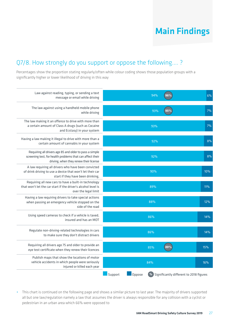#### Q7/8. How strongly do you support or oppose the following.... ?

Percentages show the proportion stating regularly/often while colour coding shows those population groups with a significantly higher or lower likelihood of driving in this way

| Law against reading, typing, or sending a text<br>message or email while driving                                                                               | 94%<br>96%                                                   | 6%         |
|----------------------------------------------------------------------------------------------------------------------------------------------------------------|--------------------------------------------------------------|------------|
| The law against using a handheld mobile phone<br>while driving                                                                                                 | 95%<br>93%                                                   | 7%         |
| The law making it an offence to drive with more than<br>a certain amount of Class A drugs (such as Cocaine<br>and Ecstasy) in your system                      | 93%                                                          | 7%         |
| Having a law making it illegal to drive with more than a<br>certain amount of cannabis in your system                                                          | 92%                                                          | 8%         |
| Requiring all drivers age 85 and older to pass a simple<br>screening test, for health problems that can affect their<br>driving, when they renew their license | 92%                                                          | 8%         |
| A law requiring all drivers who have been convicted<br>of drink driving to use a device that won't let their car<br>start if they have been drinking,          | 90%                                                          | 10%        |
| Requiring all new cars to have a built-in technology<br>that won't let the car start if the driver's alcohol level is<br>over the legal limit                  | 89%                                                          | <b>11%</b> |
| Having a law requiring drivers to take special actions<br>when passing an emergency vehicle stopped on the<br>side of the road                                 | 88%                                                          | 12%        |
| Using speed cameras to check if a vehicle is taxed,<br>insured and has an MOT                                                                                  | 86%                                                          | 14%        |
| Regulate non-driving-related technologies in cars<br>to make sure they don't distract drivers                                                                  | 86%                                                          | 14%        |
| Requiring all drivers age 75 and older to provide an<br>eye test certificate when they renew their licences                                                    | 85%<br>89%                                                   | 15%        |
| Publish maps that show the locations of motor<br>vehicle accidents in which people were seriously<br>injured or killed each year                               | 84%                                                          | 16%        |
|                                                                                                                                                                | Support<br>Oppose<br>Significantly different to 2018 figures |            |

**•** This chart is continued on the following page and shows a similar picture to last year. The majority of drivers supported all but one law/regulation namely a law that assumes the driver is always responsible for any collision with a cyclist or pedestrian in an urban area which 66% were opposed to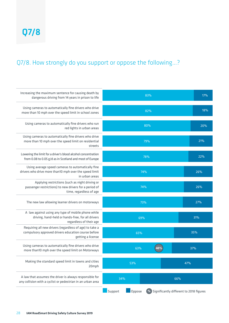#### Q7/8. How strongly do you support or oppose the following…?

| Increasing the maximum sentence for causing death by<br>dangerous driving from 14 years in prison to life                            |                   | 83%                                        | 17% |  |  |  |  |  |  |  |  |
|--------------------------------------------------------------------------------------------------------------------------------------|-------------------|--------------------------------------------|-----|--|--|--|--|--|--|--|--|
| Using cameras to automatically fine drivers who drive<br>more than 10 mph over the speed limit in school zones                       |                   | 82%                                        |     |  |  |  |  |  |  |  |  |
| Using cameras to automatically fine drivers who run<br>red lights in urban areas                                                     |                   | 80%                                        | 20% |  |  |  |  |  |  |  |  |
| Using cameras to automatically fine drivers who drive<br>more than 10 mph over the speed limit on residential<br>streets             |                   | 79%                                        | 21% |  |  |  |  |  |  |  |  |
| Lowering the limit for a driver's blood alcohol concentration<br>from 0.08 to 0.05 g/d as in Scotland and most of Europe             |                   | 78%                                        | 22% |  |  |  |  |  |  |  |  |
| Using average speed cameras to automatically fine<br>drivers who drive more than10 mph over the speed limit<br>in urban areas        | 74%               |                                            | 26% |  |  |  |  |  |  |  |  |
| Applying restrictions (such as night driving or<br>passenger restrictions) to new drivers for a period of<br>time, regardless of age | 74%               |                                            | 26% |  |  |  |  |  |  |  |  |
| The new law allowing learner drivers on motorways                                                                                    | 73%               |                                            | 27% |  |  |  |  |  |  |  |  |
| A law against using any type of mobile phone while<br>driving, hand-held or hands-free, for all drivers<br>regardless of their age   | 69%               |                                            | 31% |  |  |  |  |  |  |  |  |
| Requiring all new drivers (regardless of age) to take a<br>compulsory approved drivers education course before<br>getting a license  | 65%               |                                            | 35% |  |  |  |  |  |  |  |  |
| Using cameras to automatically fine drivers who drive<br>more than10 mph over the speed limit on Motorways                           | 63%               | 48%                                        | 37% |  |  |  |  |  |  |  |  |
| Making the standard speed limit in towns and cities<br>20mph                                                                         | 53%               |                                            | 47% |  |  |  |  |  |  |  |  |
| A law that assumes the driver is always responsible for<br>any collision with a cyclist or pedestrian in an urban area               | 34%               | 66%                                        |     |  |  |  |  |  |  |  |  |
|                                                                                                                                      | Support<br>Oppose | %) Significantly different to 2018 figures |     |  |  |  |  |  |  |  |  |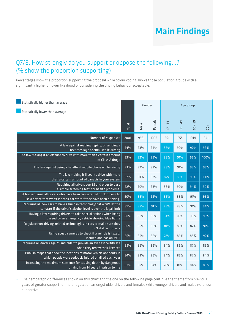#### Q7/8. How strongly do you support or oppose the following...? (% show the proportion supporting)

Percentages show the proportion supporting the proposal while colour coding shows those population groups with a significantly higher or lower likelihood of considering the driving behaviour acceptable.

| Statistically higher than average                                                                                                                  |       | Gender |        |                         | Age group                |           |      |
|----------------------------------------------------------------------------------------------------------------------------------------------------|-------|--------|--------|-------------------------|--------------------------|-----------|------|
| Statistically lower than average                                                                                                                   |       |        |        |                         |                          |           |      |
|                                                                                                                                                    | Total | Male   | Female | $-34$<br>$\overline{1}$ | $-49$<br>$\frac{15}{25}$ | $50 - 69$ | 70+  |
| Number of responses                                                                                                                                | 2001  | 998    | 1003   | 361                     | 655                      | 644       | 341  |
| A law against reading, typing, or sending a<br>text message or email while driving                                                                 | 94%   | 93%    | 94%    | 86%                     | 92%                      | 97%       | 99%  |
| The law making it an offence to drive with more than a certain amount<br>of Class A drugs                                                          | 93%   | 92%    | 95%    | 88%                     | 91%                      | 96%       | 100% |
| The law against using a handheld mobile phone while driving                                                                                        | 93%   | 92%    | 93%    | 88%                     | 91%                      | 95%       | 96%  |
| The law making it illegal to drive with more<br>than a certain amount of canabis in your system                                                    | 92%   | 91%    | 93%    | 87%                     | 89%                      | 95%       | 100% |
| Requiring all drivers age 85 and older to pass<br>a simple screening test, for health problems.                                                    | 92%   | 90%    | 93%    | 88%                     | 92%                      | 94%       | 90%  |
| A law requiring all drivers who have been convicted of drink driving to<br>use a device that won't let their car start if they have been drinking. | 90%   | 88%    | 92%    | 85%                     | 88%                      | 91%       | 95%  |
| Requiring all new cars to have a built-in technologythat won't let the<br>car start if the driver's alcohol level is over the legal limit          | 89%   | 87%    | 91%    | 85%                     | 88%                      | 91%       | 94%  |
| Having a law requiring drivers to take special actions when being<br>passed by an emergency vehicle showing blue lights                            | 88%   | 88%    | 89%    | 84%                     | 86%                      | 90%       | 95%  |
| Regulate non-driving-related technologies in cars to make sure they<br>don't distract drivers                                                      | 86%   | 85%    | 88%    | 81%                     | 85%                      | 87%       | 91%  |
| Using speed cameras to check if a vehicle is taxed,<br>insured and has an MOT                                                                      | 86%   | 85%    | 86%    | 78%                     | 85%                      | 88%       | 92%  |
| Requiring all drivers age 75 and older to provide an eye test certificate<br>when they renew their licences                                        | 85%   | 86%    | 85%    | 84%                     | 85%                      | 87%       | 83%  |
| Publish maps that show the locations of motor vehicle accidents in<br>which people were seriously injured or killed each year                      | 84%   | 83%    | 85%    | 84%                     | 85%                      | 82%       | 84%  |
| Increasing the maximum sentence for causing death by dangerous<br>driving from 14 years in prison to life                                          | 83%   | 82%    | 84%    | 78%                     | 81%                      | 84%       | 89%  |

**•** The demographic differences shown on this chart and the one on the following page continue the theme from previous years of greater support for more regulation amongst older drivers and females while younger drivers and males were less supportive.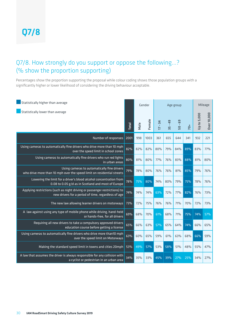#### Q7/8. How strongly do you support or oppose the following...? (% show the proportion supporting)

Percentages show the proportion supporting the proposal while colour coding shows those population groups with a significantly higher or lower likelihood of considering the driving behaviour acceptable.

| Statistically higher than average                                                                                                 |       | Gender |        |                                                  | Age group    | Mileage                        |       |                    |                   |
|-----------------------------------------------------------------------------------------------------------------------------------|-------|--------|--------|--------------------------------------------------|--------------|--------------------------------|-------|--------------------|-------------------|
| Statistically lower than average                                                                                                  | Total | Male   | Female | $\overline{4}$<br>$\mathbf{r}$<br>$\overline{1}$ | $-49$<br>Ln. | ශී<br>$\mathbf{r}$<br><u>ទ</u> | $70+$ | <b>Up to 5,000</b> | Over 10,000       |
| Number of responses                                                                                                               | 2001  | 998    | 1003   | 361                                              | 655          | 644                            | 341   | 932                | 221               |
| Using cameras to automatically fine drivers who drive more than 10 mph<br>over the speed limit in school zones                    | 82%   | 82%    | 82%    | 80%                                              | 79%          | 84%                            | 89%   | 83%                | 77%               |
| Using cameras to automatically fine drivers who run red lights<br>in urban areas                                                  | 80%   | 81%    | 80%    | 77%                                              | 76%          | 83%                            | 88%   | 81%                | 80%               |
| Using cameras to automatically fine drivers<br>who drive more than 10 mph over the speed limit on residential streets             | 79%   | 78%    | 80%    | 76%                                              | 76%          | 81%                            | 85%   | 79%                | 76%               |
| Lowering the limit for a driver's blood alcohol concentration from<br>0.08 to 0.05 g/d as in Scotland and most of Europe          | 78%   | 75%    | 80%    | 74%                                              | 80%          | 79%                            | 75%   | 78%                | 76%               |
| Applying restrictions (such as night driving or passenger restrictions) to<br>new drivers for a period of time, regardless of age | 74%   | 74%    | 74%    | 63%                                              | 72%          | 77%                            | 82%   | 76%                | 73%               |
| The new law allowing learner drivers on motorways                                                                                 | 73%   | 72%    | 75%    | 76%                                              | 76%          | 71%                            | 70%   | 72%                | 73%               |
| A law against using any type of mobile phone while driving, hand-held<br>or hands-free, for all drivers                           | 69%   | 68%    | 70%    | 61%                                              | 68%          | 71%                            | 75%   | 74%                | $\overline{57\%}$ |
| Requiring all new drivers to take a compulsory approved drivers<br>education course before getting a license                      | 65%   | 66%    | 63%    | 57%                                              | 65%          | 64%                            | 74%   | 66%                | 65%               |
| Using cameras to automatically fine drivers who drive more than10 mph<br>over the speed limit on Motorways                        | 63%   | 60%    | 65%    | 59%                                              | 61%          | 63%                            | 68%   | 66%                | 59%               |
| Making the standard speed limit in towns and cities 20mph                                                                         | 53%   | 49%    | 57%    | 53%                                              | 58%          | 51%                            | 48%   | 55%                | 47%               |
| A law that assumes the driver is always responsible for any collision with<br>a cyclist or pedestrian in an urban area            | 34%   | 35%    | 33%    | 45%                                              | 39%          | 27%                            | 25%   | 34%                | 27%               |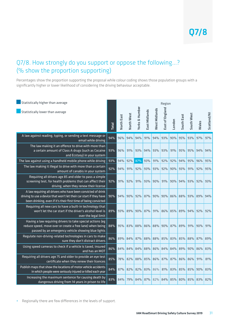#### Q7/8. How strongly do you support or oppose the following...? (% show the proportion supporting)

Percentages show the proportion supporting the proposal while colour coding shows those population groups with a significantly higher or lower likelihood of considering the driving behaviour acceptable.

| Statistically higher than average                                                                                                                                                                      |              |            |            |                           |               |               | Region          |        |             |            |       |             |
|--------------------------------------------------------------------------------------------------------------------------------------------------------------------------------------------------------|--------------|------------|------------|---------------------------|---------------|---------------|-----------------|--------|-------------|------------|-------|-------------|
| Statistically lower than average                                                                                                                                                                       | <b>Total</b> | North East | North West | <b>Yorks &amp; Humber</b> | East Midlands | West Midlands | East of England | London | South East  | South West | Wales | Scotland/NI |
| A law against reading, typing, or sending a text message or<br>email while driving                                                                                                                     | 94%          | 96%        | 94%        | 94%                       | 91%           | 94%           | 93%             | 90%    | 95%         | 93%        | 97%   | 97%         |
| The law making it an offence to drive with more than<br>a certain amount of Class A drugs (such as Cocaine<br>and Ecstasy) in your system                                                              | 93%          | 96%        | 91%        | 93%                       | 94%           | 93%           | 93%             | 91%    | 95%         | 95%        | 94%   | 94%         |
| The law against using a handheld mobile phone while driving                                                                                                                                            | 93%          | 94%        | 92%        | 87%                       | 93%           | 91%           | 92%             | 92%    | 94%         | 95%        | 96%   | 95%         |
| The law making it illegal to drive with more than a certain<br>amount of canabis in your system                                                                                                        | 92%          | 94%        | 91%        | 92%                       | 93%           | 93%           | 92%             | 90%    | 93%         | 91%        | 92%   | 95%         |
| Requiring all drivers age 85 and older to pass a simple<br>screening test, for health problems that can affect their<br>driving, when they renew their license                                         | 92%          | 91%        | 92%        | 91%                       | 93%           | 90%           | 91%             | 90%    | 94%         | 93%        | 92%   | 93%         |
| A law requiring all drivers who have been convicted of drink<br>driving to use a device that won't let their car start if they have<br>been drinking, even if it's their first time of being convicted | 90%          | 94%        | 90%        | 92%                       | 87%           | 90%           | 90%             | 86%    | 88%         | 93%        | 89%   | 94%         |
| Requiring all new cars to have a built-in technology that<br>won't let the car start if the driver's alcohol level is<br>over the legal limit                                                          | 89%          | 93%        | 89%        | 90%                       | 87%           | 91%           | 86%             | 85%    | 89%         | 94%        | 92%   | 92%         |
| Having a law requiring drivers to take special actions (eg<br>reduce speed, move over or create a free lane) when being<br>passed by an emergency vehicle showing blue lights                          | 88%          | 95%        | 83%        | 88%                       | 86%           | 88%           | 90%             | 87%    | 89%         | 91%        | 90%   | 91%         |
| Regulate non-driving-related technologies in cars to make<br>sure they don't distract drivers                                                                                                          | 86%          | 89%        | 84%        | 87%                       | 88%           | 88%           | 85%             | 83%    | 85%         | 88%        | 87%   | 89%         |
| Using speed cameras to check if a vehicle is taxed, insured<br>and has an MOT                                                                                                                          | 86%          | 84%        | 84%        | 84%                       | 88%           | 86%           | 84%             | 84%    | 89%         | 90%        | 86%   | 83%         |
| Requiring all drivers age 75 and older to provide an eye test<br>certificate when they renew their licences                                                                                            | 85%          | 78%        | 82%        | 88%                       | 85%           | 86%           | 87%             | 87%    | 86%         | 86%        | 91%   | 81%         |
| Publish maps that show the locations of motor vehicle accidents<br>in which people were seriously injured or killed each year                                                                          | 84%          | 87%        | 82%        | 82%                       | 83%           | 86%           | 81%             | 83%    | 85%         | 85%        | 90%   | 83%         |
| Increasing the maximum sentence for causing death by<br>dangerous driving from 14 years in prison to life                                                                                              | 83%          | 84%        | 79%        | 84%                       | 87%           | 82%           | 84%             |        | 85% 80% 85% |            | 83%   | 82%         |

**•** Regionally there are few differences in the levels of support.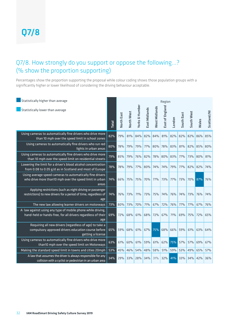#### Q7/8. How strongly do you support or oppose the following...? (% show the proportion supporting)

Percentages show the proportion supporting the proposal while colour coding shows those population groups with a significantly higher or lower likelihood of considering the driving behaviour acceptable.

| Statistically higher than average<br>Statistically lower than average                                                                | <b>Total</b> | North East | North West | <b>Yorks &amp; Humber</b> | East Midlands | <b>West Midlands</b> | Region<br>East of England | London | South East | South West | Wales | Scotland/NI |
|--------------------------------------------------------------------------------------------------------------------------------------|--------------|------------|------------|---------------------------|---------------|----------------------|---------------------------|--------|------------|------------|-------|-------------|
| Using cameras to automatically fine drivers who drive more<br>than 10 mph over the speed limit in school zones                       | 82%          | 79%        | 81%        | 84%                       | 82%           | 84%                  | 81%                       | 82%    | 82%        | 82%        | 86%   | 85%         |
| Using cameras to automatically fine drivers who run red<br>lights in urban areas                                                     | 80%          | 78%        | 79%        | 79%                       | 77%           | 80%                  | 78%                       | 83%    | 81%        | 82%        | 85%   | 80%         |
| Using cameras to automatically fine drivers who drive more<br>than 10 mph over the speed limit on residential streets                | 79%          | 85%        | 79%        | 76%                       | 82%           | 78%                  | 80%                       | 83%    | 77%        | 73%        | 80%   | 81%         |
| Lowering the limit for a driver's blood alcohol concentration<br>from 0.08 to 0.05 g/d as in Scotland and most of Europe             | 78%          | 78%        | 79%        | 77%                       | 80%           | 74%                  | 74%                       | 79%    | 77%        | 82%        | 82%   | 74%         |
| Using average speed cameras to automatically fine drivers<br>who drive more than10 mph over the speed limit in urban<br>areas        | 74%          | 66%        | 75%        | 75%                       | 70%           | 77%                  | 73%                       | 77%    | <b>73%</b> | 70% 87%    |       | 76%         |
| Applying restrictions (such as night driving or passenger<br>restrictions) to new drivers for a period of time, regardless of<br>age | 74%          | 76%        | 73%        | 71%                       | 73%           | 75%                  | 74%                       | 76%    | 74%        | 73%        | 76%   | 74%         |
| The new law allowing learner drivers on motorways                                                                                    | 73%          | 80%        | 73%        | 70%                       | 71%           | 67%                  | 72%                       | 76%    | 77%        | 77%        | 67%   | 76%         |
| A law against using any type of mobile phone while driving,<br>hand-held or hands-free, for all drivers regardless of their<br>age   | 69%          | 72%        | 68%        | 61%                       | 68%           | 72%                  | 67%                       | 71%    | 69%        | 75%        | 72%   | 65%         |
| Requiring all new drivers (regardless of age) to take a<br>compulsory approved drivers education course before<br>getting a license  | 65%          | 59%        | 68%        | 61%                       | 67%           | 75%                  | 68%                       | 66%    | 59%        | 61%        | 63%   | 64%         |
| Using cameras to automatically fine drivers who drive more<br>than10 mph over the speed limit on Motorways                           | 63%          | 61%        | 60%        | 61%                       | 59%           | 61%                  | 62%                       | 75%    | 57%        | 57%        | 69%   | 67%         |
| Making the standard speed limit in towns and cities 20mph                                                                            | 53%          | 45%        | 46%        | 54%                       | 48%           | 58%                  | 51%                       | 59%    | 53%        | 49%        | 65%   | 57%         |
| A law that assumes the driver is always responsible for any<br>collision with a cyclist or pedestrian in an urban area               | 34%          | 29%        | 33%        | 28%                       | 34%           | 31%                  | 32%                       | 41%    | 33%        | 34%        | 42%   | 36%         |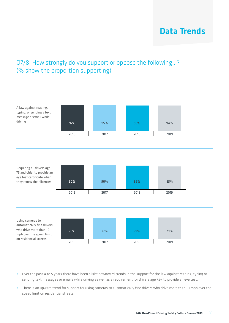## Data Trends

#### Q7/8. How strongly do you support or oppose the following...? (% show the proportion supporting)



- **•** Over the past 4 to 5 years there have been slight downward trends in the support for the law against reading, typing or sending text messages or emails while driving as well as a requirement for drivers age 75+ to provide an eye test.
- **•** There is an upward trend for support for using cameras to automatically fine drivers who drive more than 10 mph over the speed limit on residential streets.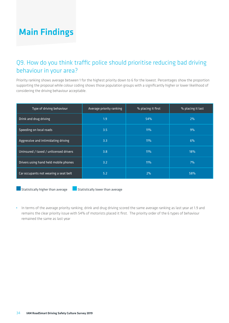#### Q9. How do you think traffic police should prioritise reducing bad driving behaviour in your area?

Priority ranking shows average between 1 for the highest priority down to 6 for the lowest. Percentages show the proportion supporting the proposal while colour coding shows those population groups with a significantly higher or lower likelihood of considering the driving behaviour acceptable.

| Type of driving behaviour              | Average priority ranking | % placing it first | % placing it last |
|----------------------------------------|--------------------------|--------------------|-------------------|
| Drink and drug driving                 | 1.9                      | 54%                | 2%                |
| Speeding on local roads                | 3.5 <sub>1</sub>         | <b>11%</b>         | 9%                |
| Aggressive and intimidating driving    | 3.3                      | <b>11%</b>         | 6%                |
| Uninsured / taxed / unlicensed drivers | 3.8                      | <b>11%</b>         | 18%               |
| Drivers using hand held mobile phones  | 3.2 <sub>1</sub>         | <b>11%</b>         | 7%                |
| Car occupants not wearing a seat belt  | 5.2                      | 2%                 | 58%               |

 $\blacksquare$  Statistically higher than average  $\blacksquare$  Statistically lower than average

**•** In terms of the average priority ranking, drink and drug driving scored the same average ranking as last year at 1.9 and remains the clear priority issue with 54% of motorists placed it first. The priority order of the 6 types of behaviour remained the same as last year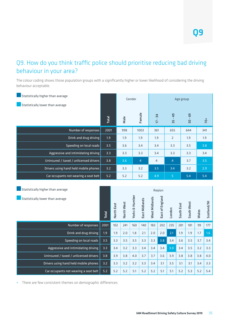#### Q9. How do you think traffic police should prioritise reducing bad driving behaviour in your area?

The colour coding shows those population groups with a significantly higher or lower likelihood of considering the driving behaviour acceptable.

| Statistically higher than average                                     |       |            |            | Gender                    |                | Age group      |                           |                |            |            |       |                  |
|-----------------------------------------------------------------------|-------|------------|------------|---------------------------|----------------|----------------|---------------------------|----------------|------------|------------|-------|------------------|
| Statistically lower than average                                      |       |            |            |                           |                |                |                           |                |            |            |       |                  |
|                                                                       | Total |            | Male       |                           | Female         | $-34$<br>IJ    |                           | $-49$<br>55    |            | $50 - 69$  |       | 70+              |
| Number of responses                                                   | 2001  |            | 998        |                           | 1003           | 361            |                           | 655            |            | 644        |       | 341              |
| Drink and drug driving                                                | 1.9   |            | 1.9        |                           | 1.9            | 1.9            |                           | $\overline{2}$ |            | 1.9        |       | 1.9              |
| Speeding on local roads                                               | 3.5   |            | 3.6        |                           | 3.4            | 3.4            |                           | 3.3            |            | 3.5        |       | 3.8              |
| Aggressive and intimidating driving                                   | 3.3   |            | 3.3        |                           | 3.3            | 3.4            |                           | 3.3            |            | 3.3        |       | 3.4              |
| Uninsured / taxed / unlicensed drivers                                | 3.8   |            | 3.6        |                           | $\overline{4}$ | $\overline{4}$ |                           | 4              |            | 3.7        |       | 3.5              |
| Drivers using hand held mobile phones                                 | 3.2   |            | 3.3        |                           | 3.2            | 3.5            |                           | 3.4            |            | 3.2        |       | 2.9              |
| Car occupants not wearing a seat belt                                 | 5.2   |            | 5.2        |                           | 5.2            | 4.9            |                           | 5              |            | 5.4        |       | 5.4              |
| Statistically higher than average<br>Statistically lower than average | Total | North East | North West | <b>Yorks &amp; Humber</b> | East Midlands  | West Midlands  | Region<br>East of England | London         | South East | South West | Wales | Scotland/NI      |
| Number of responses                                                   | 2001  | 102        | 241        | 160                       | 140            | 183            | 202                       | 235            | 281        | 181        | 99    | 177              |
| Drink and drug driving                                                | 1.9   | 1.9        | 2.0        | 1.8                       | 2.1            | 2.0            | 2.0                       | 2.1            | 1.9        | 1.9        | 1.7   | 1.6 <sub>1</sub> |
| Speeding on local roads                                               | 3.5   | 3.3        | 3.5        | 3.5                       | 3.3            | 3.3            | 3.8                       | 3.4            | 3.6        | 3.5        | 3.7   | 3.4              |
| Aggressive and intimidating driving                                   | 3.3   | 3.4        | 3.2        | 3.3                       | 3.4            | 3.4            | 3.4                       | 3.0            | 3.4        | 3.5        | 3.2   | 3.3              |
| Uninsured / taxed / unlicensed drivers                                | 3.8   | 3.9        | 3.8        | 4.0                       | 3.7            | 3.7            | 3.6                       | 3.9            | 3.8        | 3.8        | 3.8   | 4.0              |
| Drivers using hand held mobile phones                                 | 3.2   | 3.3        | 3.2        | 3.2                       | 3.3            | 3.4            | 3.1                       | 3.5            | 3.1        | 3.1        | 3.4   | 3.3              |
| Car occupants not wearing a seat belt                                 | 5.2   | 5.2        | 5.2        | 5.1                       | 5.2            | 5.2            | 5.1                       | 5.1            | 5.2        | 5.3        | 5.2   | 5.4              |

**•** There are few consistent themes on demographic differences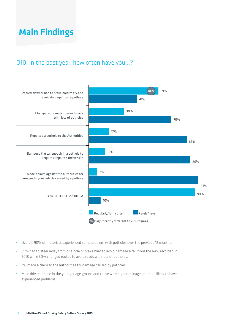#### Q10. In the past year, how often have you...?



- **•** Overall, 90% of motorists experienced some problem with potholes over the previous 12 months.
- **•** 59% had to steer away from or a hole or brake hard to avoid damage a fall from the 64% recorded in 2018 while 30% changed routes to avoid roads with lots of potholes.
- **•** 7% made a claim to the authorities for damage caused by potholes.
- **•** Male drivers, those in the younger age groups and those with higher mileage are more likely to have experienced problems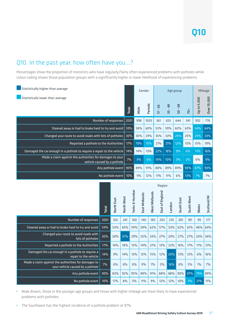#### Q10. In the past year, how often have you...?

Percentages show the proportion of motorists who have regularly/fairly often experienced problems with potholes while colour coding shows those population groups with a significantly higher or lower likelihood of experiencing problems

| Statistically higher than average                                                       |       |      | Gender |                                                  | Age group    | Mileage      |       |             |             |
|-----------------------------------------------------------------------------------------|-------|------|--------|--------------------------------------------------|--------------|--------------|-------|-------------|-------------|
| Statistically lower than average                                                        | Total | Male | Female | $\overline{4}$<br>$\mathbf{I}$<br>$\overline{1}$ | 49<br>$35 -$ | G9<br>$50 -$ | $70+$ | Up to 5,000 | Over 10,000 |
| Number of responses                                                                     | 2001  | 998  | 1003   | 361                                              | 655          | 644          | 341   | 932         | 776         |
| Steered away or had to brake hard to try and avoid                                      | 59%   | 58%  | 60%    | 53%                                              | 59%          | 60%          | 63%   | 54%         | 64%         |
| Changed your route to avoid roads with lots of potholes                                 | 30%   | 30%  | 29%    | 35%                                              | 33%          | 25%          | 25%   | 25%         | 33%         |
| Reported a pothole to the Authorities                                                   | 17%   | 19%  | 15%    | 21%                                              | 21%          | 12%          | 15%   | 15%         | 19%         |
| Damaged the car enough in a pothole to require a repair to the vehicle                  | 14%   | 14%  | 13%    | 22%                                              | 18%          | 9%           | 6%    | 11%         | 16%         |
| Made a claim against the authorities for damages to your<br>vehicle caused by a pothole | 7%    | 9%   | 6%     | 14%                                              | 10%          | 3%           | 2%    | 6%          | 9%          |
| Any pothole event                                                                       | 90%   | 89%  | 91%    | 88%                                              | 89%          | 89%          | 94%   | 87%         | 93%         |
| No pothole event                                                                        | 10%   | 9%   | 12%    | 11%                                              | 11%          | 6%           | 13%   | 7%          | 7%          |
|                                                                                         |       |      |        | Dogion                                           |              |              |       |             |             |

|                                                                                         |       | Region     |            |                |               |               |                 |        |            |            |       |             |
|-----------------------------------------------------------------------------------------|-------|------------|------------|----------------|---------------|---------------|-----------------|--------|------------|------------|-------|-------------|
|                                                                                         | Total | North East | North West | Yorks & Humber | East Midlands | West Midlands | East of England | London | South East | South West | Wales | Scotland/NI |
| Number of responses                                                                     | 2001  | 102        | 241        | 160            | 140           | 183           | 202             | 235    | 281        | 181        | 99    | 177         |
| Steered away or had to brake hard to try and avoid                                      | 59%   | 53%        | 65%        | 59%            | 59%           | 62%           | 57%             | 53%    | 62%        | 61%        | 48%   | 64%         |
| Changed your route to avoid roads with<br>lots of potholes                              | 30%   | 30%        | 37%        | 29%            | 25%           | 33%           | 27%             | 29%    | 27%        | 27%        | 20%   | 34%         |
| Reported a pothole to the Authorities                                                   | 17%   | 14%        | 18%        | 15%            | 14%           | 21%           | 13%             | 22%    | 16%        | 17%        | 11%   | 21%         |
| Damaged the car enough in a pothole to require a<br>repair to the vehicle               | 14%   | 9%         | 14%        | 13%            | 12%           | 15%           | 12%             | 20%    | 13%        | 12%        | 6%    | 16%         |
| Made a claim against the authorities for damages to<br>your vehicle caused by a pothole | 7%    | 6%         | 6%         | 6%             | 9%            | 7%            | 5%              | 16%    | 6%         | 5%         | $1\%$ | 7%          |
| Any pothole event                                                                       | 90%   | 83%        | 92%        | 95%            | 89%           | 91%           | 88%             | 88%    | 90%        | 97%        | 79%   | 89%         |
| No pothole event                                                                        | 10%   | 17%        | 8%         | 5%             | 11%           | 9%            | 12%             | 12%    | 10%        | 3%         | 21%   | 11%         |

- **•** Male drivers, those in the younger age groups and those with higher mileage are more likely to have experienced problems with potholes.
- **•** The Southwest has the highest incidence of a pothole problem at 97%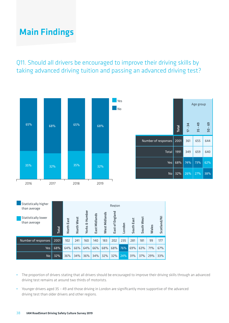Q11. Should all drivers be encouraged to improve their driving skills by taking advanced driving tuition and passing an advanced driving test?



| Statistically higher<br>than average | Region       |            |            |        |               |               |         |        |            |                    |       |             |
|--------------------------------------|--------------|------------|------------|--------|---------------|---------------|---------|--------|------------|--------------------|-------|-------------|
| Statistically lower                  |              |            |            | Humber |               |               | England |        |            |                    |       |             |
| than average                         |              | North East | North West | w      | East Midlands | West Midlands |         |        | South East | West               |       | Scotland/NI |
|                                      | <b>Total</b> |            |            | Yorks  |               |               | East of | London |            | South <sup>1</sup> | Wales |             |
| Number of responses                  | 2001         | 102        | 241        | 160    | 140           | 183           | 202     | 235    | 281        | 181                | 99    | 177         |
| <b>Yes</b>                           | 68%          | 64%        | 66%        | 64%    | 66%           | 68%           | 68%     | 76%    | 69%        | 63%                | 71%   | 67%         |
| No                                   | 32%          | 36%        | 34%        | 36%    | 34%           | 32%           | 32%     | 24%    | 31%        | 37%                | 29%   | 33%         |

- **•** The proportion of drivers stating that all drivers should be encouraged to improve their driving skills through an advanced driving test remains at around two thirds of motorists.
- **•** Younger drivers aged 35 49 and those driving in London are significantly more supportive of the advanced driving test than older drivers and other regions.